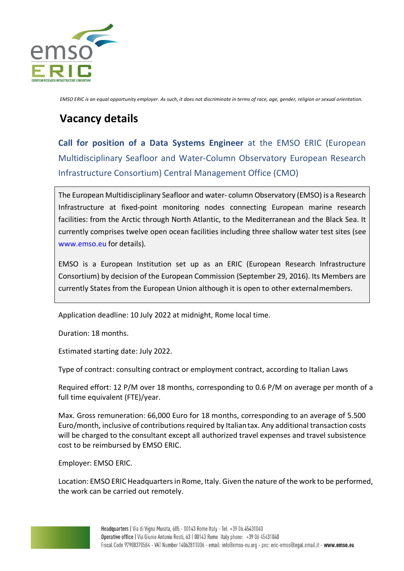

*EMSO ERIC is an equal opportunity employer. As such, it does not discriminate in terms of race, age, gender, religion or sexual orientation.*

# **Vacancy details**

**Call for position of a Data Systems Engineer** at the EMSO ERIC (European Multidisciplinary Seafloor and Water-Column Observatory European Research Infrastructure Consortium) Central Management Office (CMO)

The European Multidisciplinary Seafloor and water- column Observatory (EMSO) is a Research Infrastructure at fixed-point monitoring nodes connecting European marine research facilities: from the Arctic through North Atlantic, to the Mediterranean and the Black Sea. It currently comprises twelve open ocean facilities including three shallow water test sites (see www.emso.eu for details).

EMSO is a European Institution set up as an ERIC (European Research Infrastructure Consortium) by decision of the European Commission (September 29, 2016). Its Members are currently States from the European Union although it is open to other externalmembers.

Application deadline: 10 July 2022 at midnight, Rome local time.

Duration: 18 months.

Estimated starting date: July 2022.

Type of contract: consulting contract or employment contract, according to Italian Laws

Required effort: 12 P/M over 18 months, corresponding to 0.6 P/M on average per month of a full time equivalent (FTE)/year.

Max. Gross remuneration: 66,000 Euro for 18 months, corresponding to an average of 5.500 Euro/month, inclusive of contributions required by Italiantax. Any additional transaction costs will be charged to the consultant except all authorized travel expenses and travel subsistence cost to be reimbursed by EMSO ERIC.

Employer: EMSO ERIC.

Location: EMSO ERIC Headquarters in Rome, Italy. Given the nature of the work to be performed, the work can be carried out remotely.

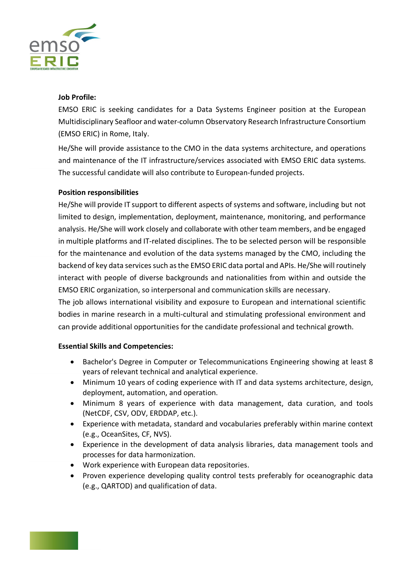

### **Job Profile:**

EMSO ERIC is seeking candidates for a Data Systems Engineer position at the European Multidisciplinary Seafloor and water-column Observatory Research Infrastructure Consortium (EMSO ERIC) in Rome, Italy.

He/She will provide assistance to the CMO in the data systems architecture, and operations and maintenance of the IT infrastructure/services associated with EMSO ERIC data systems. The successful candidate will also contribute to European-funded projects.

## **Position responsibilities**

He/She will provide IT support to different aspects of systems and software, including but not limited to design, implementation, deployment, maintenance, monitoring, and performance analysis. He/She will work closely and collaborate with other team members, and be engaged in multiple platforms and IT-related disciplines. The to be selected person will be responsible for the maintenance and evolution of the data systems managed by the CMO, including the backend of key data services such as the EMSO ERIC data portal and APIs. He/She will routinely interact with people of diverse backgrounds and nationalities from within and outside the EMSO ERIC organization, so interpersonal and communication skills are necessary.

The job allows international visibility and exposure to European and international scientific bodies in marine research in a multi-cultural and stimulating professional environment and can provide additional opportunities for the candidate professional and technical growth.

### **Essential Skills and Competencies:**

- Bachelor's Degree in Computer or Telecommunications Engineering showing at least 8 years of relevant technical and analytical experience.
- Minimum 10 years of coding experience with IT and data systems architecture, design, deployment, automation, and operation.
- Minimum 8 years of experience with data management, data curation, and tools (NetCDF, CSV, ODV, ERDDAP, etc.).
- Experience with metadata, standard and vocabularies preferably within marine context (e.g., OceanSites, CF, NVS).
- Experience in the development of data analysis libraries, data management tools and processes for data harmonization.
- Work experience with European data repositories.
- Proven experience developing quality control tests preferably for oceanographic data (e.g., QARTOD) and qualification of data.

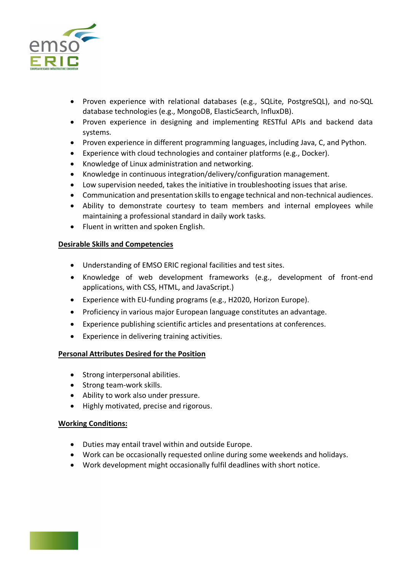

- Proven experience with relational databases (e.g., SQLite, PostgreSQL), and no-SQL database technologies (e.g., MongoDB, ElasticSearch, InfluxDB).
- Proven experience in designing and implementing RESTful APIs and backend data systems.
- Proven experience in different programming languages, including Java, C, and Python.
- Experience with cloud technologies and container platforms (e.g., Docker).
- Knowledge of Linux administration and networking.
- Knowledge in continuous integration/delivery/configuration management.
- Low supervision needed, takes the initiative in troubleshooting issues that arise.
- Communication and presentation skills to engage technical and non-technical audiences.
- Ability to demonstrate courtesy to team members and internal employees while maintaining a professional standard in daily work tasks.
- Fluent in written and spoken English.

## **Desirable Skills and Competencies**

- Understanding of EMSO ERIC regional facilities and test sites.
- Knowledge of web development frameworks (e.g., development of front-end applications, with CSS, HTML, and JavaScript.)
- Experience with EU-funding programs (e.g., H2020, Horizon Europe).
- Proficiency in various major European language constitutes an advantage.
- Experience publishing scientific articles and presentations at conferences.
- Experience in delivering training activities.

# **Personal Attributes Desired for the Position**

- Strong interpersonal abilities.
- Strong team-work skills.
- Ability to work also under pressure.
- Highly motivated, precise and rigorous.

### **Working Conditions:**

- Duties may entail travel within and outside Europe.
- Work can be occasionally requested online during some weekends and holidays.
- Work development might occasionally fulfil deadlines with short notice.